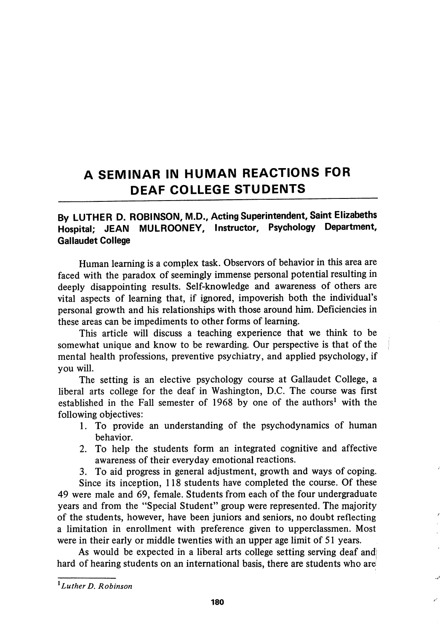## A SEMINAR IN HUMAN REACTIONS FOR DEAF COLLEGE STUDENTS

## By LUTHER D. ROBINSON, M.D., Acting Superintendent, Saint Elizabeths Hospital; JEAN MULROONEY, Instructor, Psychology Department, Gallaudet College

Human learning is a complex task. Observors of behavior in this area are faced with the paradox of seemingly immense personal potential resulting in deeply disappointing results. Self-knowledge and awareness of others are vital aspects of learning that, if ignored, impoverish both the individual's personal growth and his relationships with those around him. Deficiencies in these areas can be impediments to other forms of learning.

This article will discuss a teaching experience that we think to be somewhat unique and know to be rewarding. Our perspective is that of the mental health professions, preventive psychiatry, and applied psychology, if you will.

The setting is an elective psychology course at Gallaudet College, a liberal arts college for the deaf in Washington, D.C. The course was first established in the Fall semester of 1968 by one of the authors' with the following objectives:

- 1. To provide an understanding of the psychodynamics of human behavior.
- 2. To help the students form an integrated cognitive and affective awareness of their everyday emotional reactions.

3. To aid progress in general adjustment, growth and ways of coping.

Since its inception, 118 students have completed the course. Of these 49 were male and 69, female. Students from each of the four undergraduate years and from the "Special Student" group were represented. The majority of the students, however, have been juniors and seniors, no doubt reflecting a limitation in enrollment with preference given to upperclassmen. Most were in their early or middle twenties with an upper age limit of 51 years.

As would be expected in a liberal arts college setting serving deaf and hard of hearing students on an international basis, there are students who are

 $<sup>1</sup>$  Luther D. Robinson</sup>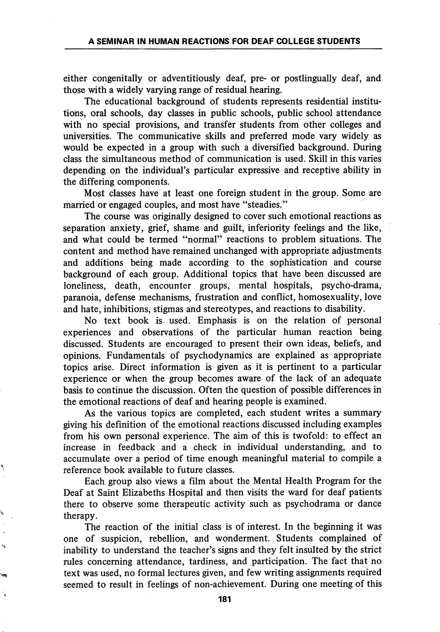either congenitally or adventitiously deaf, pre- or postlingually deaf, and those with a widely varying range of residual hearing.

The educational background of students represents residential institu tions, oral schools, day classes in public schools, public school attendance with no special provisions, and transfer students from other colleges and universities. The communicative skills and preferred mode vary widely as would be expected in a group with such a diversified background. During class the simultaneous method of communication is used. Skill in this varies depending on the individual's particular expressive and receptive ability in the differing components.

Most classes have at least one foreign student in the group. Some are married or engaged couples, and most have "steadies."

The course was originally designed to cover such emotional reactions as separation anxiety, grief, shame and guilt, inferiority feelings and the like, and what could be termed "normal" reactions to problem situations. The content and method have remained unchanged with appropriate adjustments and additions being made according to the sophistication and course background of each group. Additional topics that have been discussed are loneliness, death, encounter groups, mental hospitals, psycho-drama, paranoia, defense mechanisms, frustration and conflict, homosexuality, love and hate, inhibitions, stigmas and stereotypes, and reactions to disability.

No text book is used. Emphasis is on the relation of personal experiences and observations of the particular human reaction being discussed. Students are encouraged to present their own ideas, beliefs, and opinions. Fundamentals of psychodynamics are explained as appropriate topics arise. Direct information is given as it is pertinent to a particular experience or when the group becomes aware of the lack of an adequate basis to continue the discussion. Often the question of possible differences in the emotional reactions of deaf and hearing people is examined.

As the various topics are completed, each student writes a summary giving his definition of the emotional reactions discussed including examples from his own personal experience. The aim of this is twofold: to effect an increase in feedback and a check in individual understanding, and to accumulate over a period of time enough meaningful material to compile a reference book available to future classes.

Each group also views a film about the Mental Health Program for the Deaf at Saint Elizabeths Hospital and then visits the ward for deaf patients there to observe some therapeutic activity such as psychodrama or dance therapy.

The reaction of the initial class is of interest. In the beginning it was one of suspicion, rebellion, and wonderment. Students complained of inability to understand the teacher's signs and they felt insulted by the strict rules concerning attendance, tardiness, and participation. The fact that no text was used, no formal lectures given, and few writing assignments required seemed to result in feelings of non-achievement. During one meeting of this

i.

181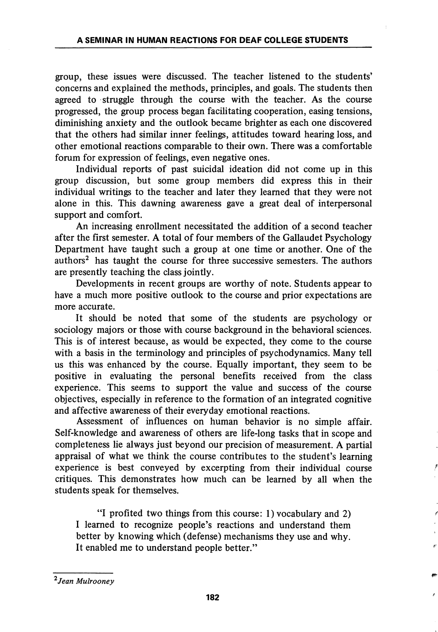group, these issues were discussed. The teacher listened to the students' concerns and explained the methods, principles, and goals. The students then agreed to struggle through the course with the teacher. As the course progressed, the group process began facilitating cooperation, easing tensions, diminishing anxiety and the outlook became brighter as each one discovered that the others had similar inner feelings, attitudes toward hearing loss, and other emotional reactions comparable to their own. There was a comfortable forum for expression of feelings, even negative ones.

Individual reports of past suicidal ideation did not come up in this group discussion, but some group members did express this in their individual writings to the teacher and later they learned that they were not alone in this. This dawning awareness gave a great deal of interpersonal support and comfort.

An increasing enrollment necessitated the addition of a second teacher after the first semester. A total of four members of the Gallaudet Psychology Department have taught such a group at one time or another. One of the authors<sup>2</sup> has taught the course for three successive semesters. The authors are presently teaching the class jointly.

Developments in recent groups are worthy of note. Students appear to have a much more positive outlook to the course and prior expectations are more accurate.

It should be noted that some of the students are psychology or sociology majors or those with course background in the behavioral sciences. This is of interest because, as would be expected, they come to the course with a basis in the terminology and principles of psychodynamics. Many tell us this was enhanced by the course. Equally important, they seem to be positive in evaluating the personal benefits received from the class experience. This seems to support the value and success of the course objectives, especially in reference to the formation of an integrated cognitive and affective awareness of their everyday emotional reactions.

Assessment of influences on human behavior is no simple affair. Self-knowledge and awareness of others are life-long tasks that in scope and completeness lie always just beyond our precision of measurement. A partial appraisal of what we think the course contributes to the student's learning experience is best conveyed by excerpting from their individual course critiques. This demonstrates how much can be learned by all when the students speak for themselves.

"I profited two things from this course: 1) vocabulary and 2) I learned to recognize people's reactions and understand them better by knowing which (defense) mechanisms they use and why. It enabled me to understand people better."

<sup>2</sup> Jean Mulrooney